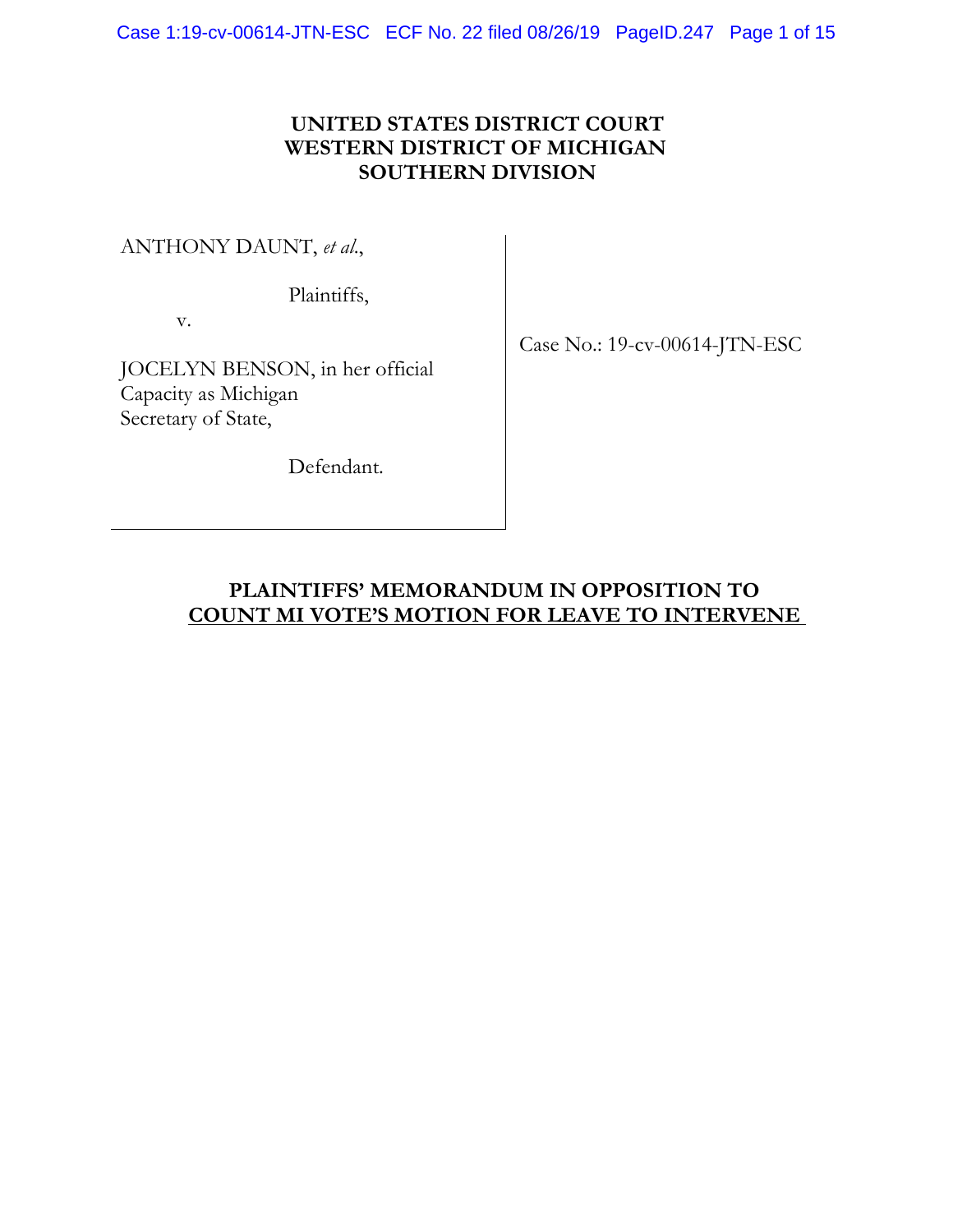## **UNITED STATES DISTRICT COURT WESTERN DISTRICT OF MICHIGAN SOUTHERN DIVISION**

ANTHONY DAUNT, *et al*.,

Plaintiffs,

v.

JOCELYN BENSON, in her official Capacity as Michigan Secretary of State,

Defendant.

Case No.: 19-cv-00614-JTN-ESC

# **PLAINTIFFS' MEMORANDUM IN OPPOSITION TO COUNT MI VOTE'S MOTION FOR LEAVE TO INTERVENE**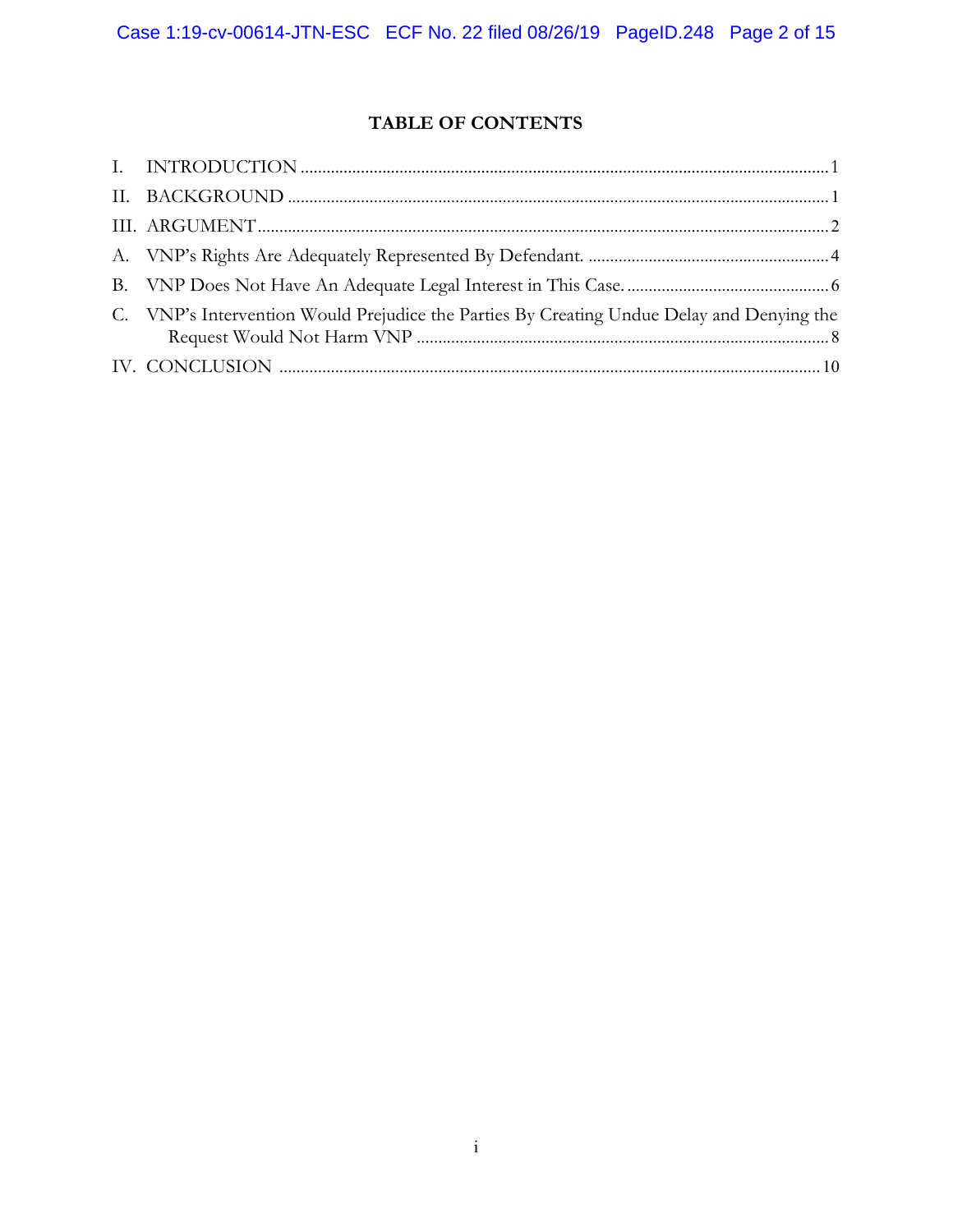## **TABLE OF CONTENTS**

| C. VNP's Intervention Would Prejudice the Parties By Creating Undue Delay and Denying the |
|-------------------------------------------------------------------------------------------|
|                                                                                           |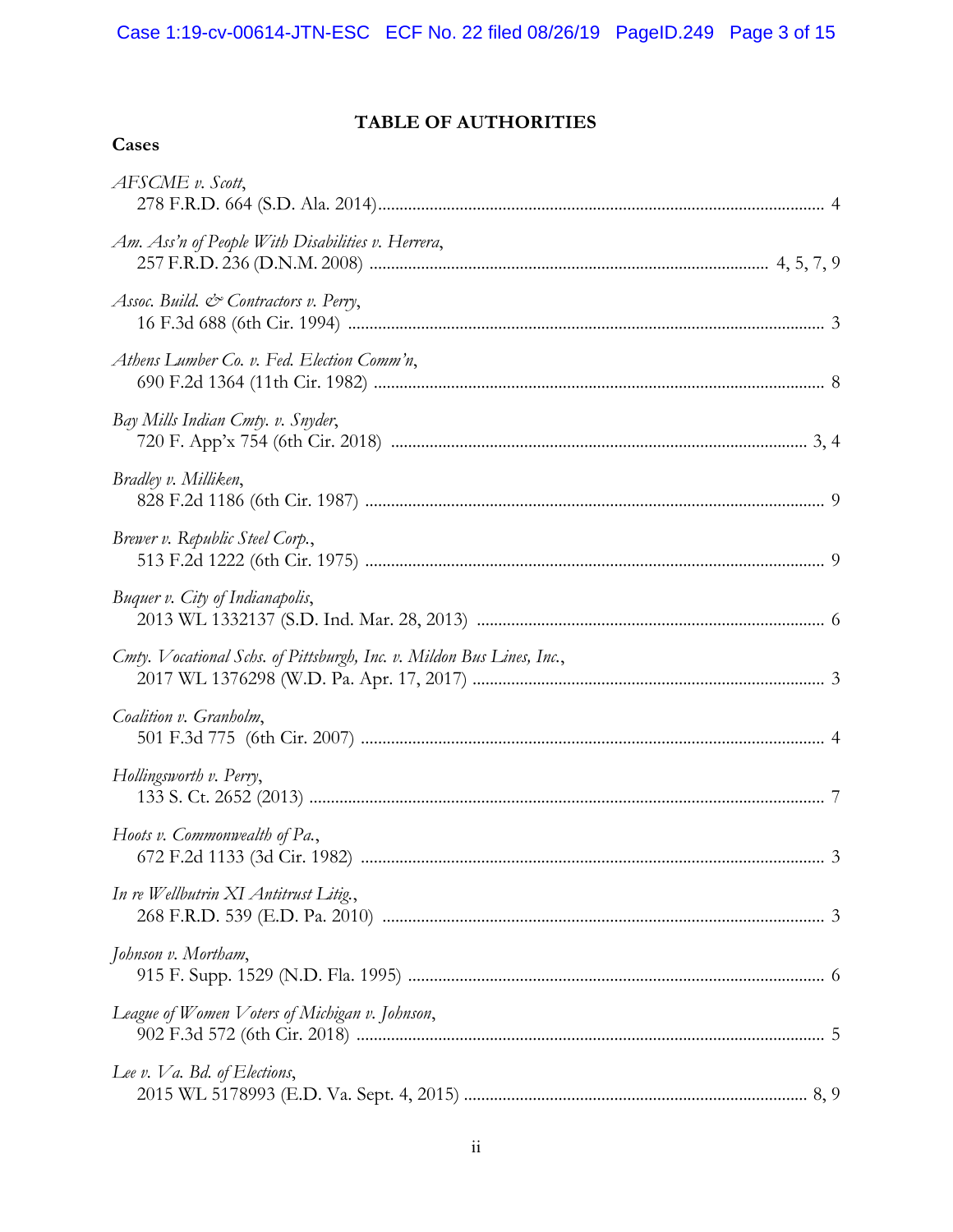## **TABLE OF AUTHORITIES**

| AFSCME v. Scott,                                                      |  |
|-----------------------------------------------------------------------|--|
| Am. Ass'n of People With Disabilities v. Herrera,                     |  |
| Assoc. Build. $\mathcal{C}$ Contractors v. Perry,                     |  |
| Athens Lumber Co. v. Fed. Election Comm'n,                            |  |
| Bay Mills Indian Cmty. v. Snyder,                                     |  |
| Bradley v. Milliken,                                                  |  |
| Brewer v. Republic Steel Corp.,                                       |  |
| Buquer v. City of Indianapolis,                                       |  |
| Cmty. Vocational Schs. of Pittsburgh, Inc. v. Mildon Bus Lines, Inc., |  |
| Coalition v. Granholm,                                                |  |
| Hollingsworth v. Perry,                                               |  |
| Hoots v. Commonwealth of Pa.,                                         |  |
| In re Wellbutrin XI Antitrust Litig.,                                 |  |
| Johnson v. Mortham,                                                   |  |
| League of Women Voters of Michigan v. Johnson,                        |  |
| Lee v. Va. Bd. of Elections,                                          |  |
|                                                                       |  |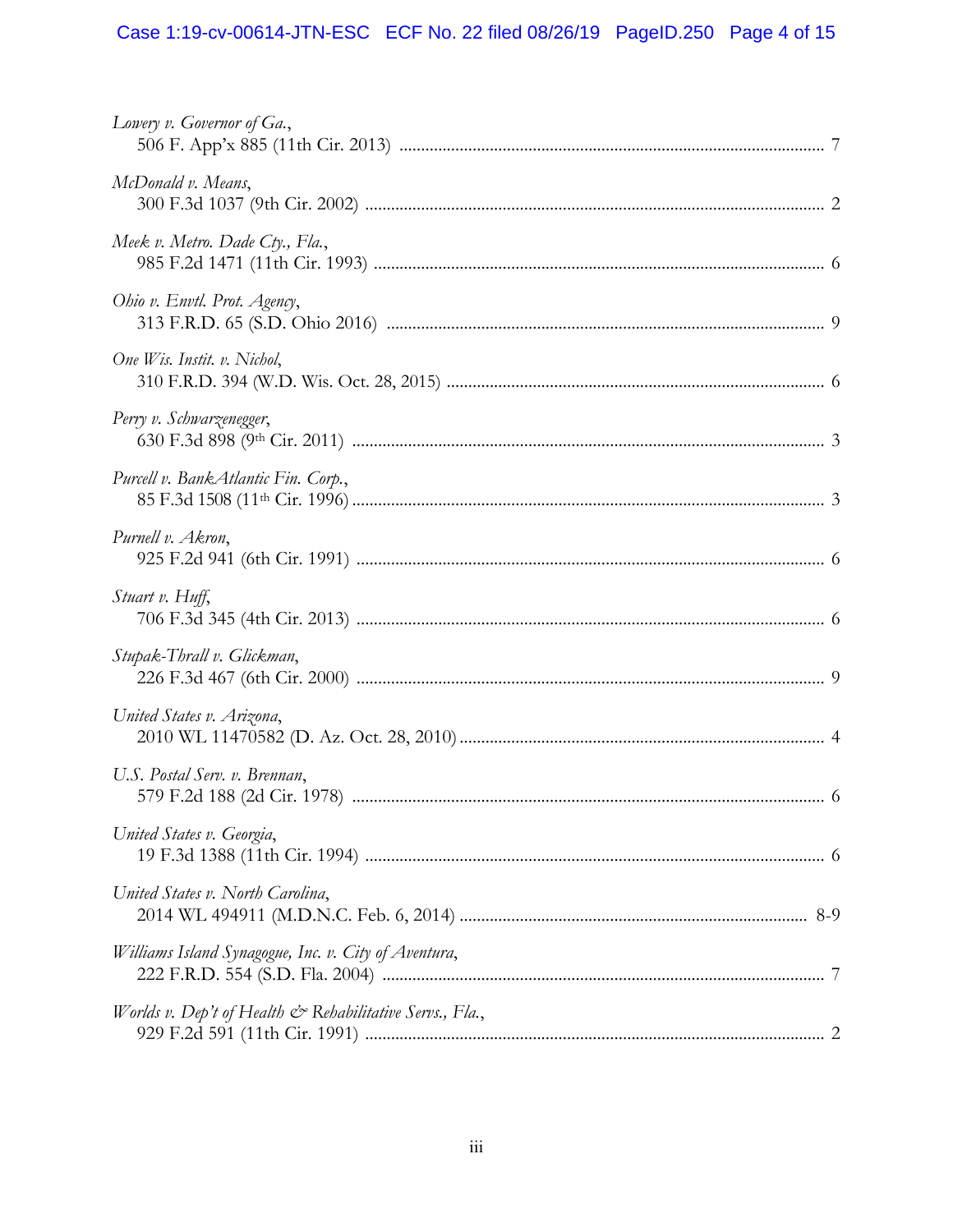# Case 1:19-cv-00614-JTN-ESC ECF No. 22 filed 08/26/19 PageID.250 Page 4 of 15

| Lowery v. Governor of Ga.,                                           |  |
|----------------------------------------------------------------------|--|
| McDonald v. Means,                                                   |  |
| Meek v. Metro. Dade Cty., Fla.,                                      |  |
| Ohio v. Envtl. Prot. Agency,                                         |  |
| One Wis. Instit. v. Nichol,                                          |  |
| Perry v. Schwarzenegger,                                             |  |
| Purcell v. BankAtlantic Fin. Corp.,                                  |  |
| Purnell v. Akron,                                                    |  |
| Stuart v. Huff,                                                      |  |
| Stupak-Thrall v. Glickman,                                           |  |
| United States v. Arizona,                                            |  |
| U.S. Postal Serv. v. Brennan,                                        |  |
| United States v. Georgia,                                            |  |
| United States v. North Carolina,                                     |  |
| Williams Island Synagogue, Inc. v. City of Aventura,                 |  |
| Worlds v. Dep't of Health $\mathcal{Q}$ Rehabilitative Servs., Fla., |  |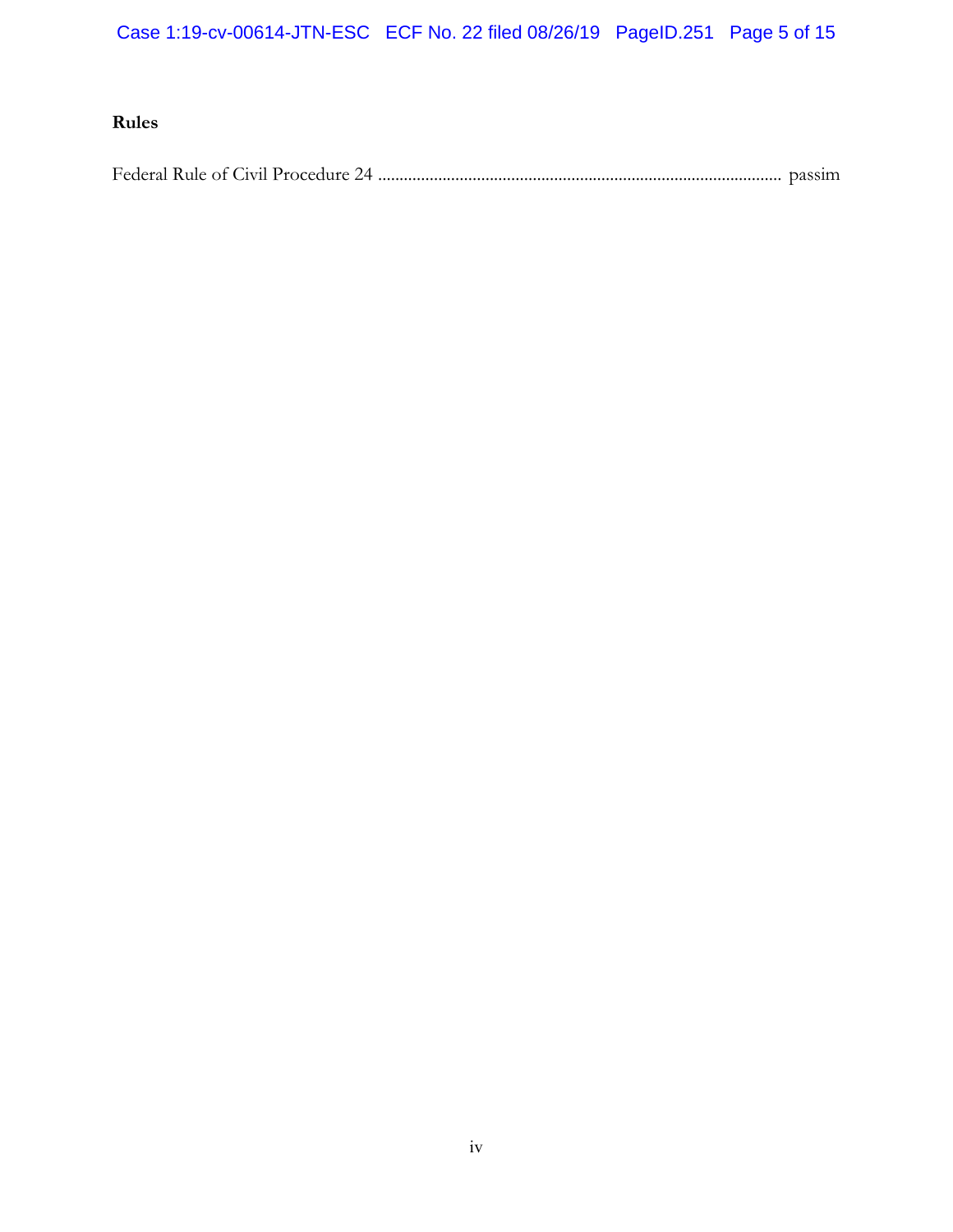Case 1:19-cv-00614-JTN-ESC ECF No. 22 filed 08/26/19 PageID.251 Page 5 of 15

## **Rules**

Federal Rule of Civil Procedure 24 .............................................................................................. [passim](#page-6-3)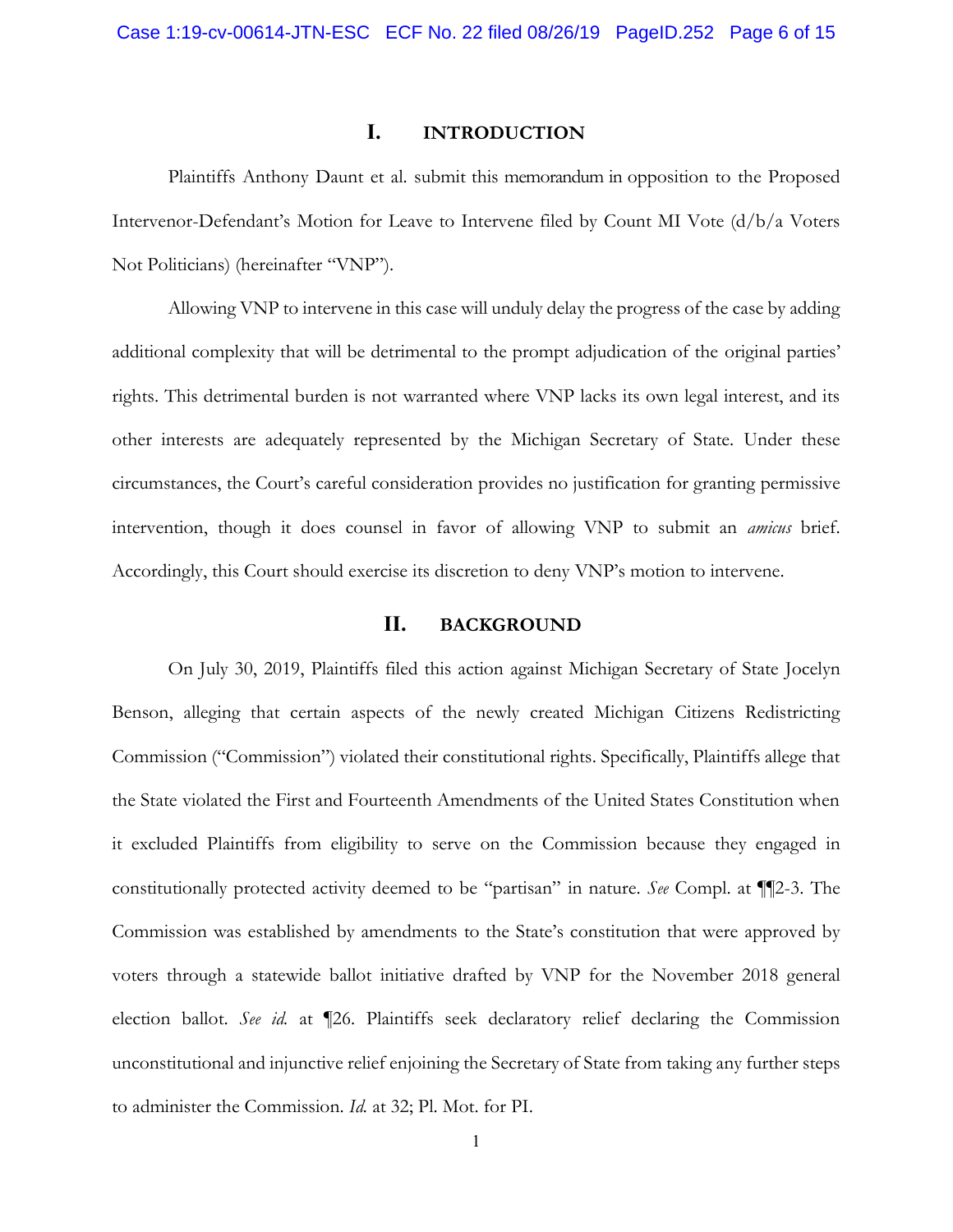## **I. INTRODUCTION**

Plaintiffs Anthony Daunt et al. submit this memorandum in opposition to the Proposed Intervenor-Defendant's Motion for Leave to Intervene filed by Count MI Vote (d/b/a Voters Not Politicians) (hereinafter "VNP").

Allowing VNP to intervene in this case will unduly delay the progress of the case by adding additional complexity that will be detrimental to the prompt adjudication of the original parties' rights. This detrimental burden is not warranted where VNP lacks its own legal interest, and its other interests are adequately represented by the Michigan Secretary of State. Under these circumstances, the Court's careful consideration provides no justification for granting permissive intervention, though it does counsel in favor of allowing VNP to submit an *amicus* brief. Accordingly, this Court should exercise its discretion to deny VNP's motion to intervene.

#### **II. BACKGROUND**

<span id="page-5-0"></span>On July 30, 2019, Plaintiffs filed this action against Michigan Secretary of State Jocelyn Benson, alleging that certain aspects of the newly created Michigan Citizens Redistricting Commission ("Commission") violated their constitutional rights. Specifically, Plaintiffs allege that the State violated the First and Fourteenth Amendments of the United States Constitution when it excluded Plaintiffs from eligibility to serve on the Commission because they engaged in constitutionally protected activity deemed to be "partisan" in nature. *See* Compl. at ¶¶2-3. The Commission was established by amendments to the State's constitution that were approved by voters through a statewide ballot initiative drafted by VNP for the November 2018 general election ballot. *See id.* at ¶26. Plaintiffs seek declaratory relief declaring the Commission unconstitutional and injunctive relief enjoining the Secretary of State from taking any further steps to administer the Commission. *Id.* at 32; Pl. Mot. for PI.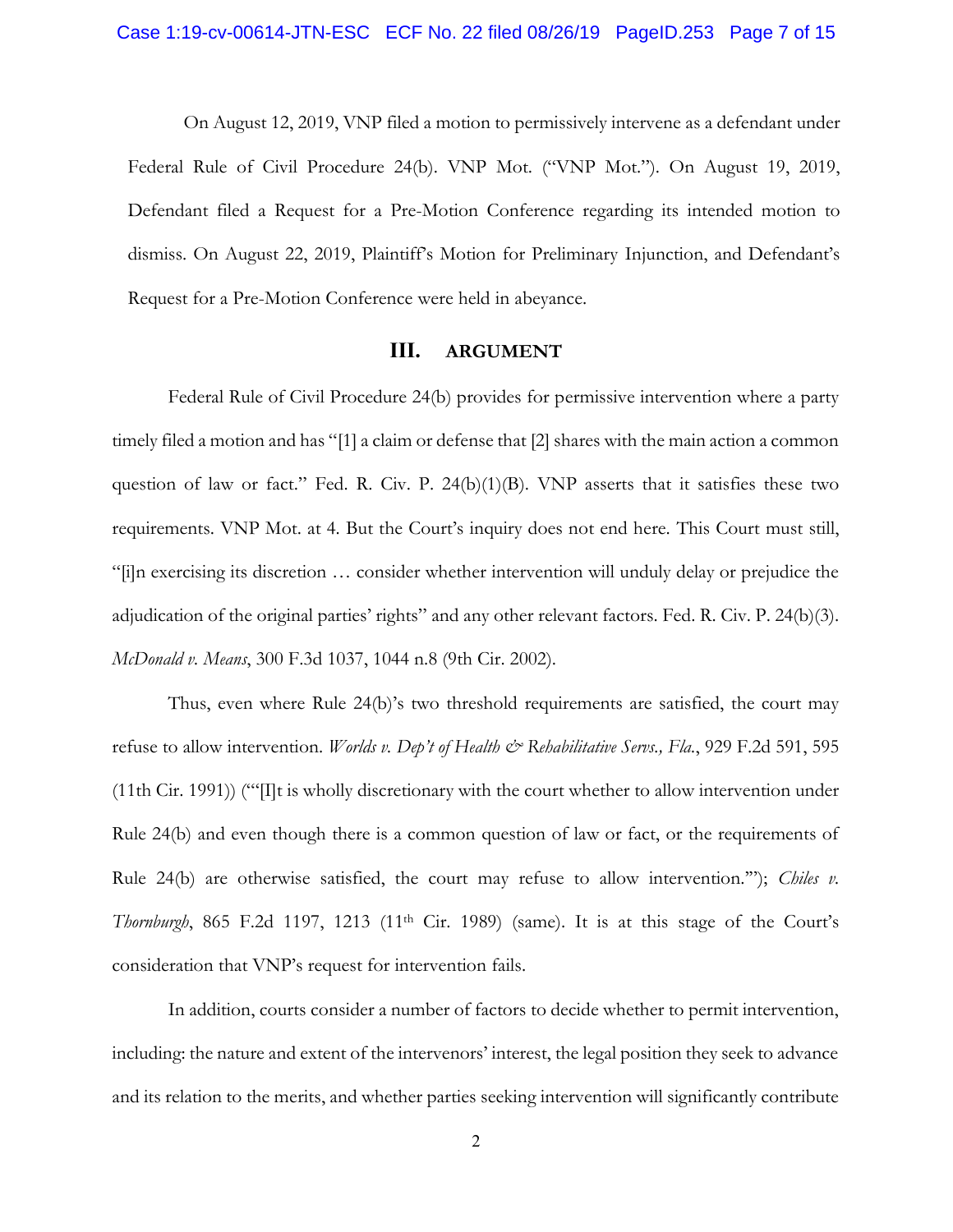<span id="page-6-3"></span>On August 12, 2019, VNP filed a motion to permissively intervene as a defendant under Federal Rule of Civil Procedure 24(b). VNP Mot. ("VNP Mot."). On August 19, 2019, Defendant filed a Request for a Pre-Motion Conference regarding its intended motion to dismiss. On August 22, 2019, Plaintiff's Motion for Preliminary Injunction, and Defendant's Request for a Pre-Motion Conference were held in abeyance.

### **III. ARGUMENT**

<span id="page-6-0"></span>Federal Rule of Civil Procedure 24(b) provides for permissive intervention where a party timely filed a motion and has "[1] a claim or defense that [2] shares with the main action a common question of law or fact." Fed. R. Civ. P.  $24(b)(1)(B)$ . VNP asserts that it satisfies these two requirements. VNP Mot. at 4. But the Court's inquiry does not end here. This Court must still, "[i]n exercising its discretion … consider whether intervention will unduly delay or prejudice the adjudication of the original parties' rights" and any other relevant factors. Fed. R. Civ. P. 24(b)(3). *McDonald v. Means*, 300 F.3d 1037, 1044 n.8 (9th Cir. 2002).

<span id="page-6-2"></span><span id="page-6-1"></span>Thus, even where Rule 24(b)'s two threshold requirements are satisfied, the court may refuse to allow intervention. *Worlds v. Dep't of Health & Rehabilitative Servs.*, Fla., 929 F.2d 591, 595 (11th Cir. 1991)) ("'[I]t is wholly discretionary with the court whether to allow intervention under Rule 24(b) and even though there is a common question of law or fact, or the requirements of Rule 24(b) are otherwise satisfied, the court may refuse to allow intervention.'"); *[Chiles](https://1.next.westlaw.com/Link/Document/FullText?findType=Y&serNum=1989018543&pubNum=0000350&originatingDoc=Ib32fa5ec426211e490d4edf60ce7d742&refType=RP&fi=co_pp_sp_350_1213&originationContext=document&transitionType=DocumentItem&contextData=(sc.UserEnteredCitation)&co_pp_sp_350_1213) v. Thornburgh*[, 865 F.2d 1197,](https://1.next.westlaw.com/Link/Document/FullText?findType=Y&serNum=1989018543&pubNum=0000350&originatingDoc=Ib32fa5ec426211e490d4edf60ce7d742&refType=RP&fi=co_pp_sp_350_1213&originationContext=document&transitionType=DocumentItem&contextData=(sc.UserEnteredCitation)&co_pp_sp_350_1213) 1213 (11<sup>th</sup> Cir. 1989) (same). It is at this stage of the Court's consideration that VNP's request for intervention fails.

In addition, courts consider a number of factors to decide whether to permit intervention, including: the nature and extent of the intervenors' interest, the legal position they seek to advance and its relation to the merits, and whether parties seeking intervention will significantly contribute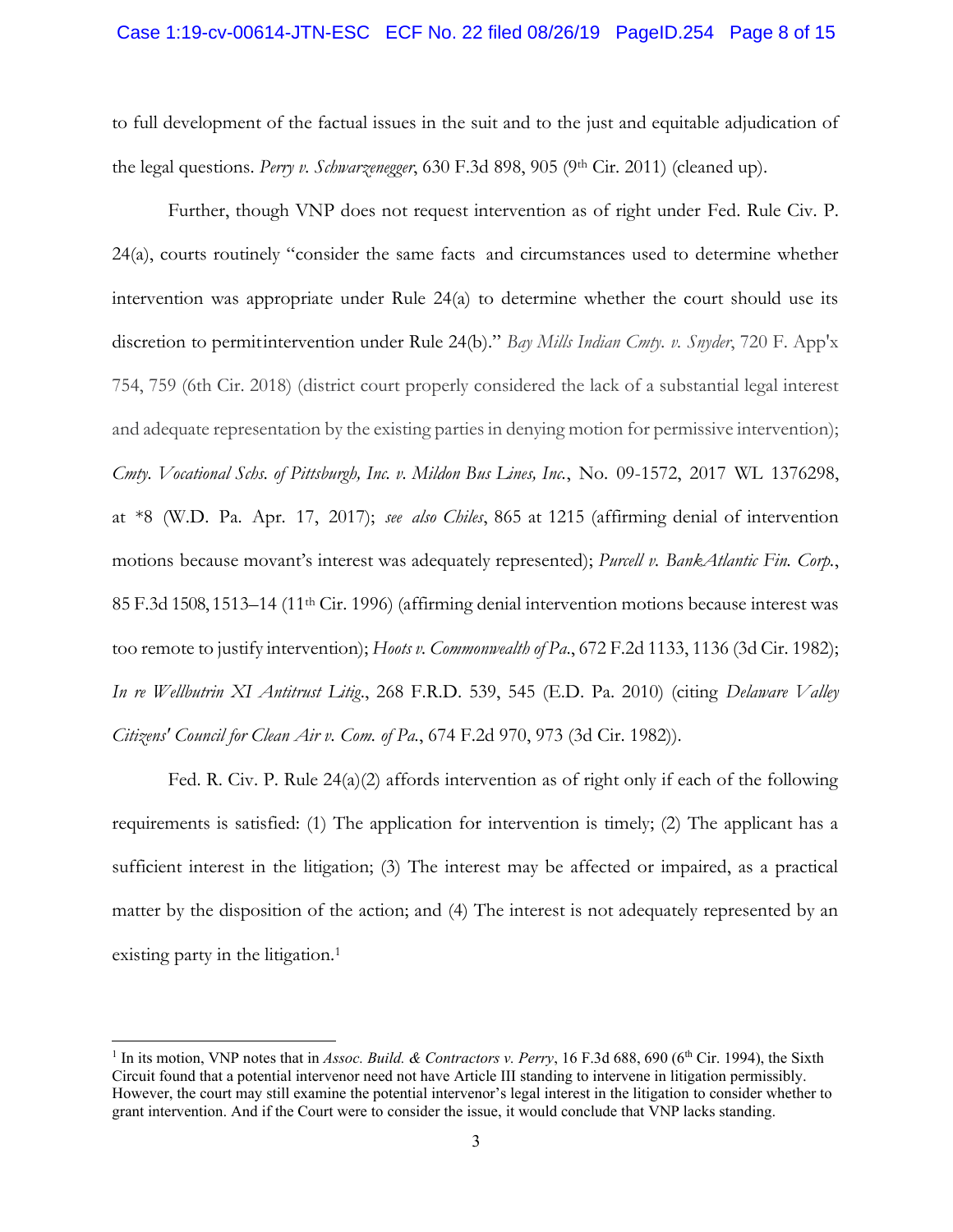#### Case 1:19-cv-00614-JTN-ESC ECF No. 22 filed 08/26/19 PageID.254 Page 8 of 15

<span id="page-7-5"></span>to full development of the factual issues in the suit and to the just and equitable adjudication of the legal questions. *Perry v. Schwarzenegger*, 630 F.3d 898, 905 (9th Cir. 2011) (cleaned up).

<span id="page-7-2"></span><span id="page-7-1"></span>Further, though VNP does not request intervention as of right under Fed. Rule Civ. P. 24(a), courts routinely "consider the same facts and circumstances used to determine whether intervention was appropriate under Rule 24(a) to determine whether the court should use its discretion to permitintervention under Rule 24(b)." *Bay Mills Indian Cmty. v. Snyder*, 720 F. App'x 754, 759 (6th Cir. 2018) (district court properly considered the lack of a substantial legal interest and adequate representation by the existing parties in denying motion for permissive intervention); *Cmty. Vocational Schs. of Pittsburgh, Inc. v. Mildon Bus Lines, Inc.*, No. 09-1572, 2017 WL 1376298, at \*8 (W.D. Pa. Apr. 17, 2017); *see also Chiles*, 865 at 1215 (affirming denial of intervention motions because movant's interest was adequately represented); *Purcell v. BankAtlantic Fin. Corp.*, 85 F.3d 1508, 1513–14 (11th Cir. 1996) (affirming denial intervention motions because interest was too remote to justify intervention); *Hoots v. Commonwealth of Pa*., 672 F.2d 1133, 1136 (3d Cir. 1982); *In re Wellbutrin XI Antitrust Litig*., 268 F.R.D. 539, 545 (E.D. Pa. 2010) (citing *Delaware Valley Citizens' Council for Clean Air v. Com. of Pa.*, 674 F.2d 970, 973 (3d Cir. 1982)).

<span id="page-7-6"></span><span id="page-7-4"></span><span id="page-7-3"></span>Fed. R. Civ. P. Rule  $24(a)(2)$  affords intervention as of right only if each of the following requirements is satisfied: (1) The application for intervention is timely; (2) The applicant has a sufficient interest in the litigation; (3) The interest may be affected or impaired, as a practical matter by the disposition of the action; and (4) The interest is not adequately represented by an existing party in the litigation.<sup>1</sup>

<span id="page-7-0"></span><sup>&</sup>lt;sup>1</sup> In its motion, VNP notes that in *Assoc. Build. & Contractors v. Perry*, 16 F.3d 688, 690 (6<sup>th</sup> Cir. 1994), the Sixth Circuit found that a potential intervenor need not have Article III standing to intervene in litigation permissibly. However, the court may still examine the potential intervenor's legal interest in the litigation to consider whether to grant intervention. And if the Court were to consider the issue, it would conclude that VNP lacks standing.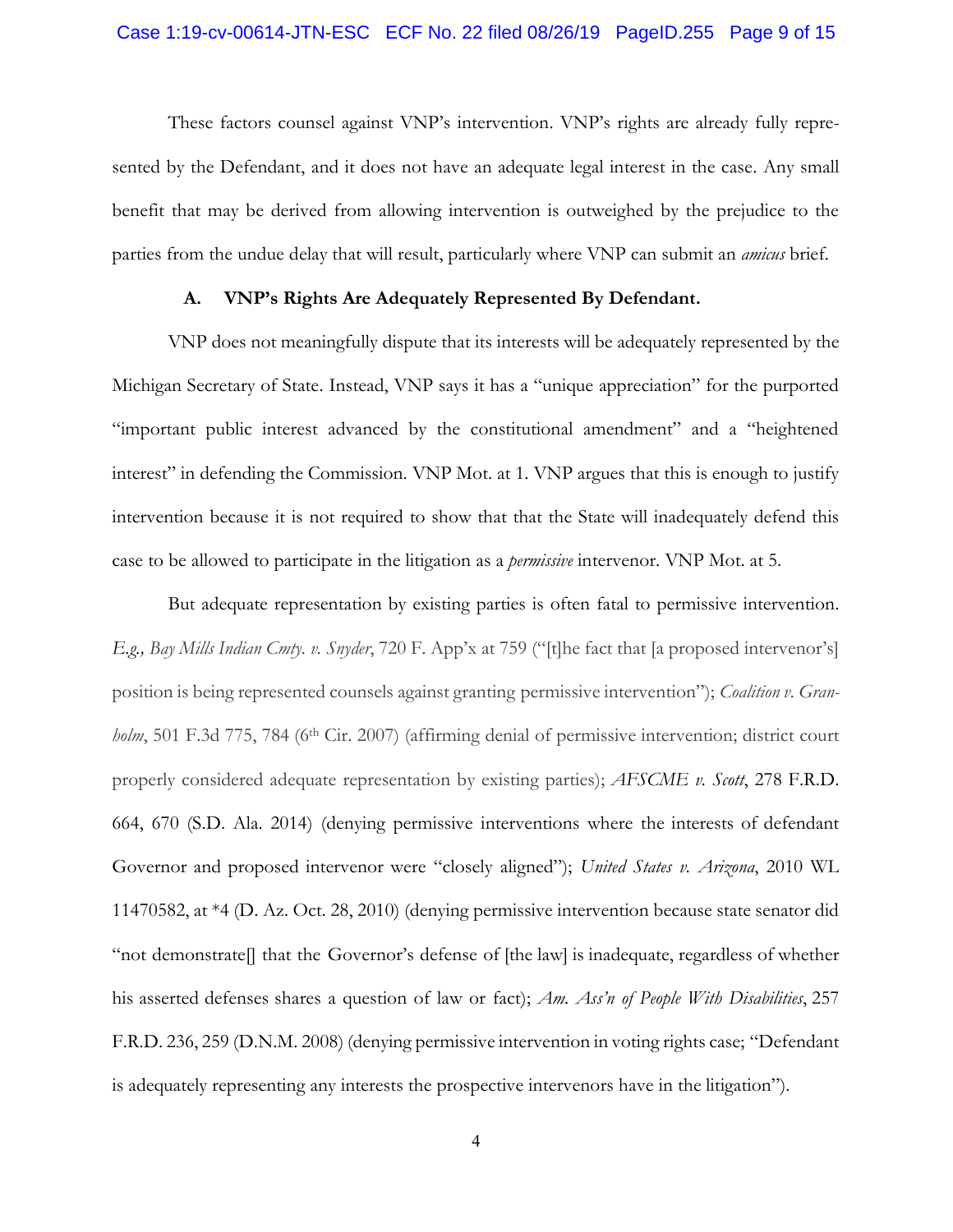#### Case 1:19-cv-00614-JTN-ESC ECF No. 22 filed 08/26/19 PageID.255 Page 9 of 15

These factors counsel against VNP's intervention. VNP's rights are already fully represented by the Defendant, and it does not have an adequate legal interest in the case. Any small benefit that may be derived from allowing intervention is outweighed by the prejudice to the parties from the undue delay that will result, particularly where VNP can submit an *amicus* brief.

#### **A. VNP's Rights Are Adequately Represented By Defendant.**

<span id="page-8-0"></span>VNP does not meaningfully dispute that its interests will be adequately represented by the Michigan Secretary of State. Instead, VNP says it has a "unique appreciation" for the purported "important public interest advanced by the constitutional amendment" and a "heightened interest" in defending the Commission. VNP Mot. at 1. VNP argues that this is enough to justify intervention because it is not required to show that that the State will inadequately defend this case to be allowed to participate in the litigation as a *permissive* intervenor. VNP Mot. at 5.

<span id="page-8-5"></span><span id="page-8-4"></span><span id="page-8-3"></span><span id="page-8-2"></span><span id="page-8-1"></span>But adequate representation by existing parties is often fatal to permissive intervention. *E.g., Bay Mills Indian Cmty. v. Snyder*, 720 F. App'x at 759 ("[t]he fact that [a proposed intervenor's] position is being represented counsels against granting permissive intervention"); *Coalition v. Granholm*, 501 F.3d 775, 784 (6<sup>th</sup> Cir. 2007) (affirming denial of permissive intervention; district court properly considered adequate representation by existing parties); *AFSCME v. Scott*, 278 F.R.D. 664, 670 (S.D. Ala. 2014) (denying permissive interventions where the interests of defendant Governor and proposed intervenor were "closely aligned"); *United States v. Arizona*, 2010 WL 11470582, at \*4 (D. Az. Oct. 28, 2010) (denying permissive intervention because state senator did "not demonstrate[] that the Governor's defense of [the law] is inadequate, regardless of whether his asserted defenses shares a question of law or fact); *Am. Ass'n of People With Disabilities*, 257 F.R.D. 236, 259 (D.N.M. 2008) (denying permissive intervention in voting rights case; "Defendant is adequately representing any interests the prospective intervenors have in the litigation").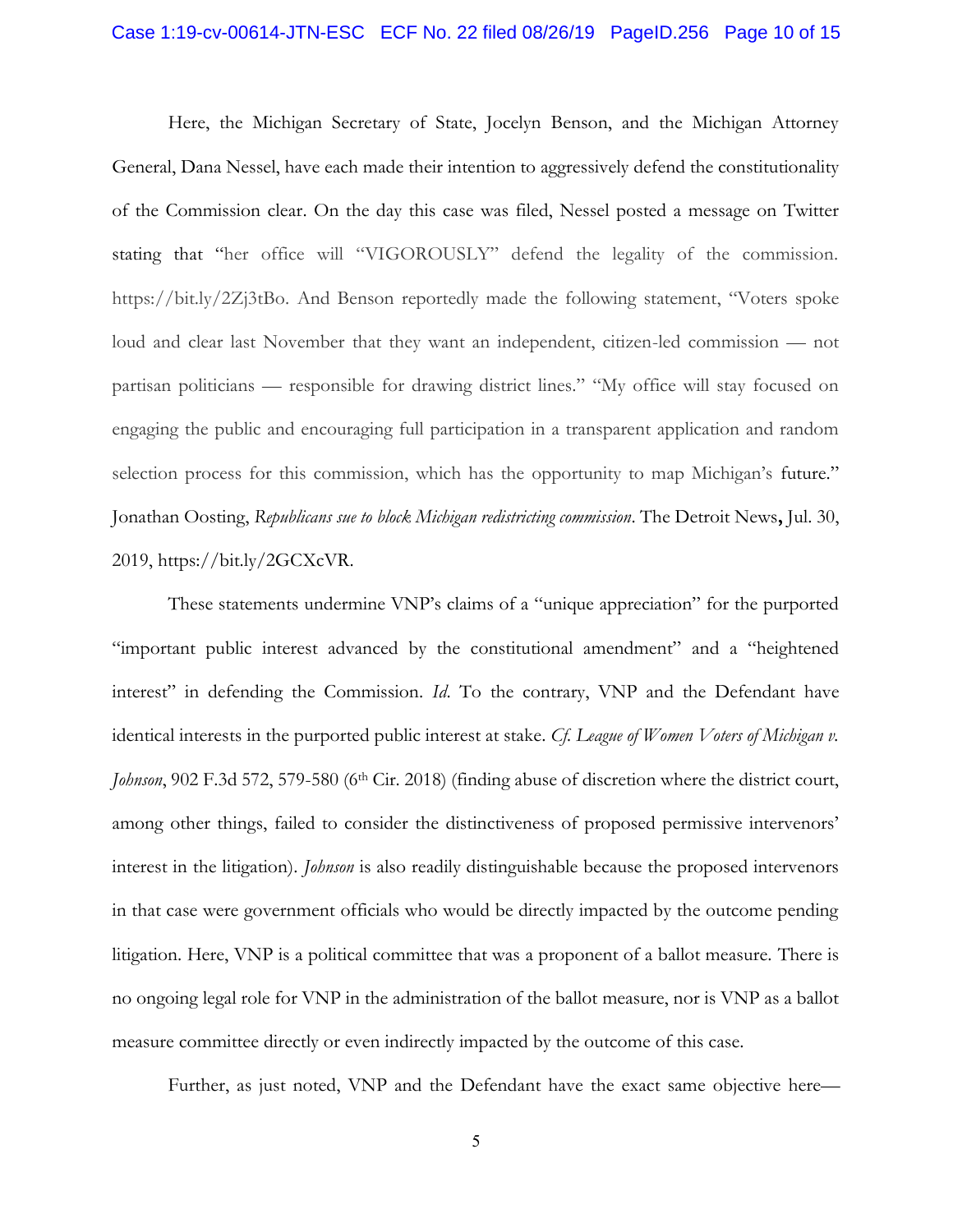#### Case 1:19-cv-00614-JTN-ESC ECF No. 22 filed 08/26/19 PageID.256 Page 10 of 15

Here, the Michigan Secretary of State, Jocelyn Benson, and the Michigan Attorney General, Dana Nessel, have each made their intention to aggressively defend the constitutionality of the Commission clear. On the day this case was filed, Nessel posted a message on Twitter stating that "her office will "VIGOROUSLY" defend the legality of the commission. https://bit.ly/2Zj3tBo. And Benson reportedly made the following statement, "Voters spoke loud and clear last November that they want an independent, citizen-led commission — not partisan politicians — responsible for drawing district lines." "My office will stay focused on engaging the public and encouraging full participation in a transparent application and random selection process for this commission, which has the opportunity to map Michigan's future." [Jonathan Oosting,](http://www.detroitnews.com/staff/10046778/jonathan-oosting/) *Republicans sue to block Michigan redistricting commission*. The Detroit News**,** Jul. 30, 2019, https://bit.ly/2GCXcVR.

<span id="page-9-1"></span><span id="page-9-0"></span>These statements undermine VNP's claims of a "unique appreciation" for the purported "important public interest advanced by the constitutional amendment" and a "heightened interest" in defending the Commission. *Id*. To the contrary, VNP and the Defendant have identical interests in the purported public interest at stake. *Cf. League of Women Voters of Michigan v. Johnson*, 902 F.3d 572, 579-580 (6<sup>th</sup> Cir. 2018) (finding abuse of discretion where the district court, among other things, failed to consider the distinctiveness of proposed permissive intervenors' interest in the litigation). *Johnson* is also readily distinguishable because the proposed intervenors in that case were government officials who would be directly impacted by the outcome pending litigation. Here, VNP is a political committee that was a proponent of a ballot measure. There is no ongoing legal role for VNP in the administration of the ballot measure, nor is VNP as a ballot measure committee directly or even indirectly impacted by the outcome of this case.

Further, as just noted, VNP and the Defendant have the exact same objective here—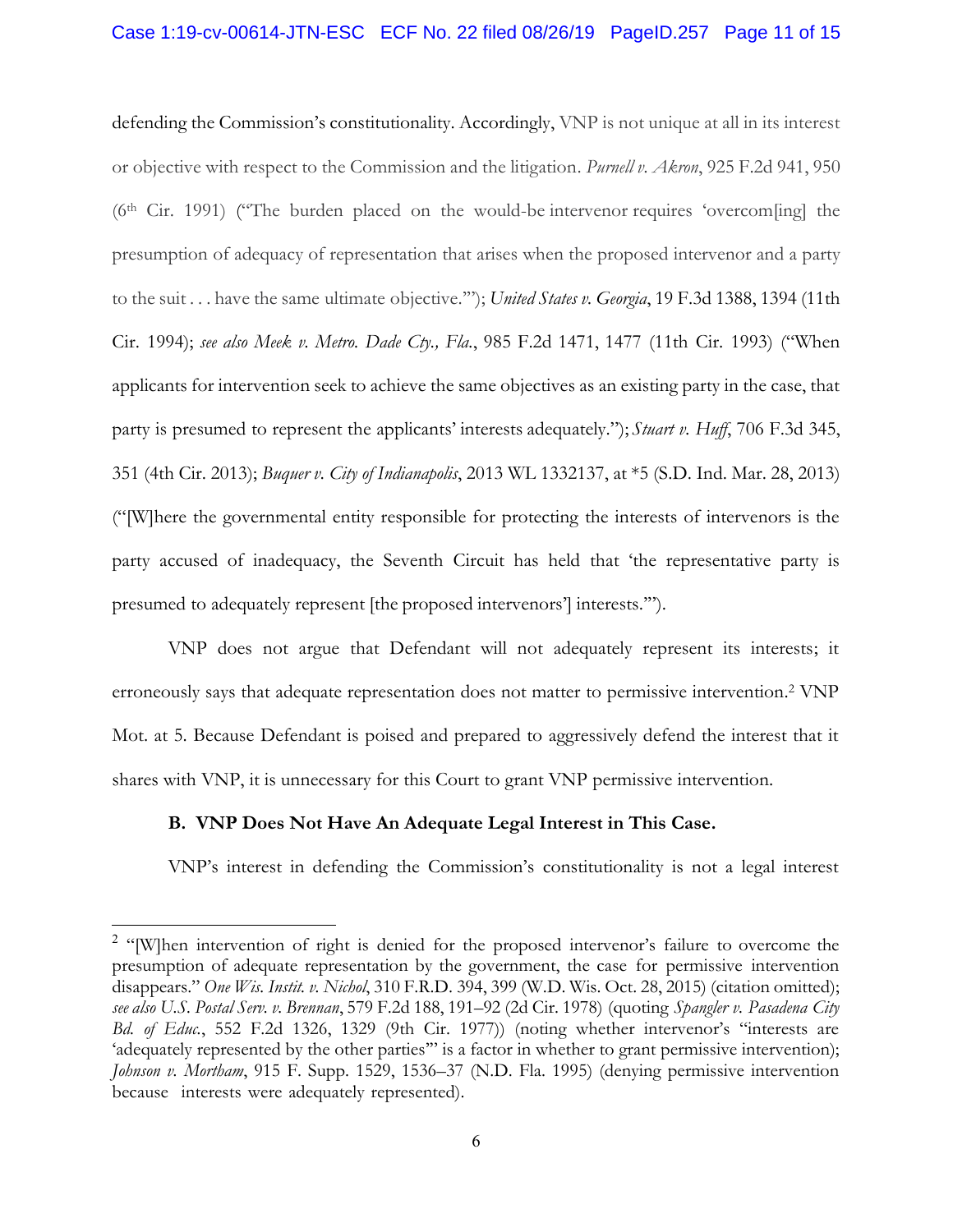#### Case 1:19-cv-00614-JTN-ESC ECF No. 22 filed 08/26/19 PageID.257 Page 11 of 15

<span id="page-10-8"></span><span id="page-10-5"></span><span id="page-10-3"></span>defending the Commission's constitutionality. Accordingly, VNP is not unique at all in its interest or objective with respect to the Commission and the litigation. *Purnell v. Akron*, 925 F.2d 941, 950 (6th Cir. 1991) ("The burden placed on the would-be intervenor requires 'overcom[ing] the presumption of adequacy of representation that arises when the proposed intervenor and a party to the suit . . . have the same ultimate objective.'"); *United States v. Georgia*, 19 F.3d 1388, 1394 (11th Cir. 1994); *see also Meek v. Metro. Dade Cty., Fla.*, 985 F.2d 1471, 1477 (11th Cir. 1993) ("When applicants for intervention seek to achieve the same objectives as an existing party in the case, that party is presumed to represent the applicants' interests adequately."); *Stuart v. Huff*, 706 F.3d 345, 351 (4th Cir. 2013); *Buquer v. City of Indianapolis*, 2013 WL 1332137, at \*5 (S.D. Ind. Mar. 28, 2013) ("[W]here the governmental entity responsible for protecting the interests of intervenors is the party accused of inadequacy, the Seventh Circuit has held that 'the representative party is presumed to adequately represent [the proposed intervenors'] interests.'").

<span id="page-10-6"></span><span id="page-10-1"></span>VNP does not argue that Defendant will not adequately represent its interests; it erroneously says that adequate representation does not matter to permissive intervention. <sup>2</sup> VNP Mot. at 5. Because Defendant is poised and prepared to aggressively defend the interest that it shares with VNP, it is unnecessary for this Court to grant VNP permissive intervention.

#### <span id="page-10-0"></span>**B. VNP Does Not Have An Adequate Legal Interest in This Case.**

VNP's interest in defending the Commission's constitutionality is not a legal interest

<span id="page-10-7"></span><span id="page-10-4"></span><span id="page-10-2"></span><sup>&</sup>lt;sup>2</sup> "[W]hen intervention of right is denied for the proposed intervenor's failure to overcome the presumption of adequate representation by the government, the case for permissive intervention disappears." *One Wis. Instit. v. Nichol*, 310 F.R.D. 394, 399 (W.D. Wis. Oct. 28, 2015) (citation omitted); *see also U.S. Postal Serv. v. Brennan*, 579 F.2d 188, 191–92 (2d Cir. 1978) (quoting *Spangler v. Pasadena City Bd. of Educ.*, 552 F.2d 1326, 1329 (9th Cir. 1977)) (noting whether intervenor's "interests are 'adequately represented by the other parties'" is a factor in whether to grant permissive intervention); *Johnson v. Mortham*, 915 F. Supp. 1529, 1536–37 (N.D. Fla. 1995) (denying permissive intervention because interests were adequately represented).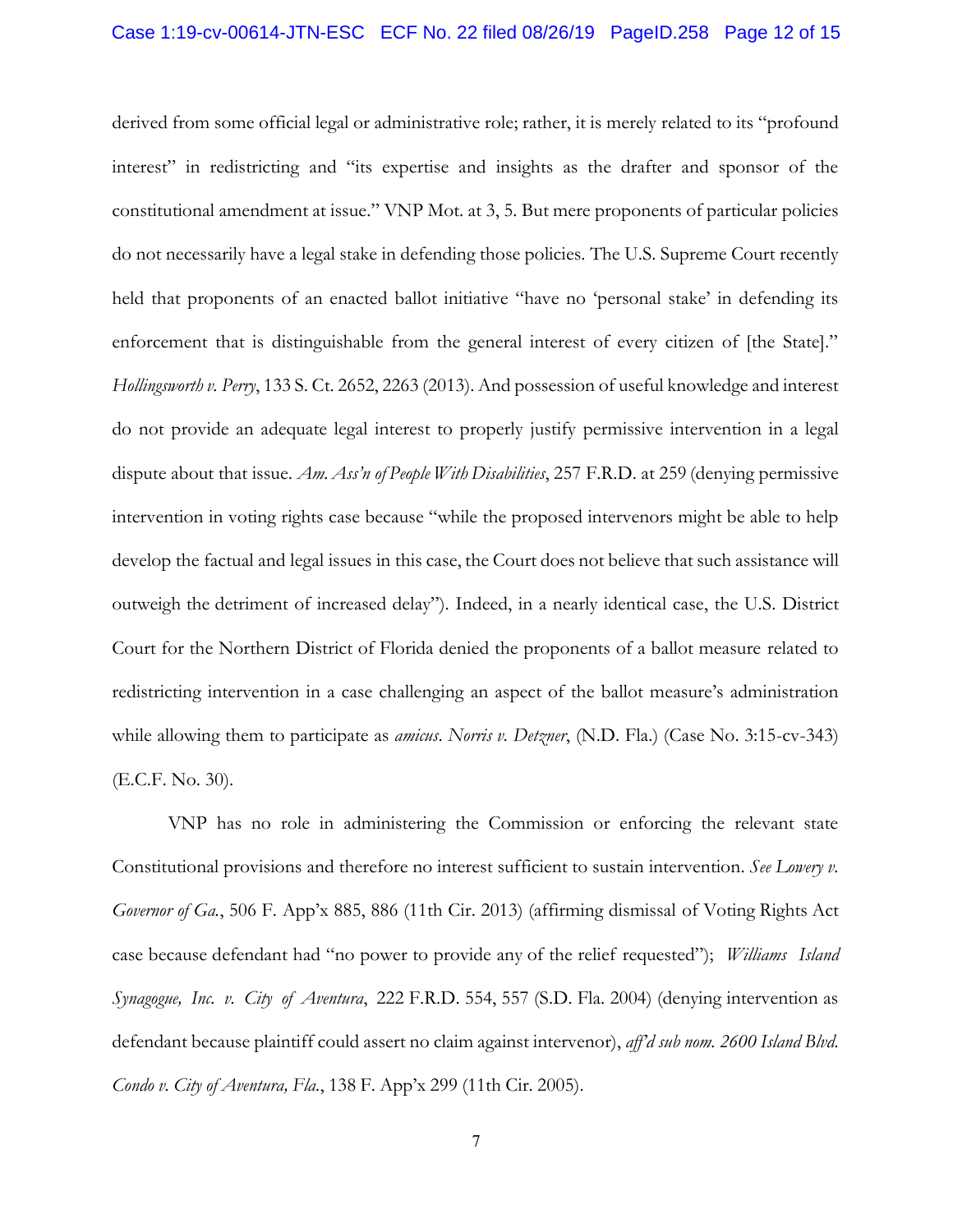<span id="page-11-1"></span><span id="page-11-0"></span>derived from some official legal or administrative role; rather, it is merely related to its "profound interest" in redistricting and "its expertise and insights as the drafter and sponsor of the constitutional amendment at issue." VNP Mot. at 3, 5. But mere proponents of particular policies do not necessarily have a legal stake in defending those policies. The U.S. Supreme Court recently held that proponents of an enacted ballot initiative "have no 'personal stake' in defending its enforcement that is distinguishable from the general interest of every citizen of [the State]." *Hollingsworth v. Perry*, 133 S. Ct. 2652, 2263 (2013). And possession of useful knowledge and interest do not provide an adequate legal interest to properly justify permissive intervention in a legal dispute about that issue. *Am. Ass'n of People With Disabilities*, 257 F.R.D. at 259 (denying permissive intervention in voting rights case because "while the proposed intervenors might be able to help develop the factual and legal issues in this case, the Court does not believe that such assistance will outweigh the detriment of increased delay"). Indeed, in a nearly identical case, the U.S. District Court for the Northern District of Florida denied the proponents of a ballot measure related to redistricting intervention in a case challenging an aspect of the ballot measure's administration while allowing them to participate as *amicus*. *Norris v. Detzner*, (N.D. Fla.) (Case No. 3:15-cv-343) (E.C.F. No. 30).

<span id="page-11-3"></span><span id="page-11-2"></span>VNP has no role in administering the Commission or enforcing the relevant state Constitutional provisions and therefore no interest sufficient to sustain intervention. *See Lowery v. Governor of Ga.*, 506 F. App'x 885, 886 (11th Cir. 2013) (affirming dismissal of Voting Rights Act case because defendant had "no power to provide any of the relief requested"); *Williams Island Synagogue, Inc. v. City of Aventura*, 222 F.R.D. 554, 557 (S.D. Fla. 2004) (denying intervention as defendant because plaintiff could assert no claim against intervenor), *aff'd sub nom. 2600 Island Blvd. Condo v. City of Aventura, Fla.*, 138 F. App'x 299 (11th Cir. 2005).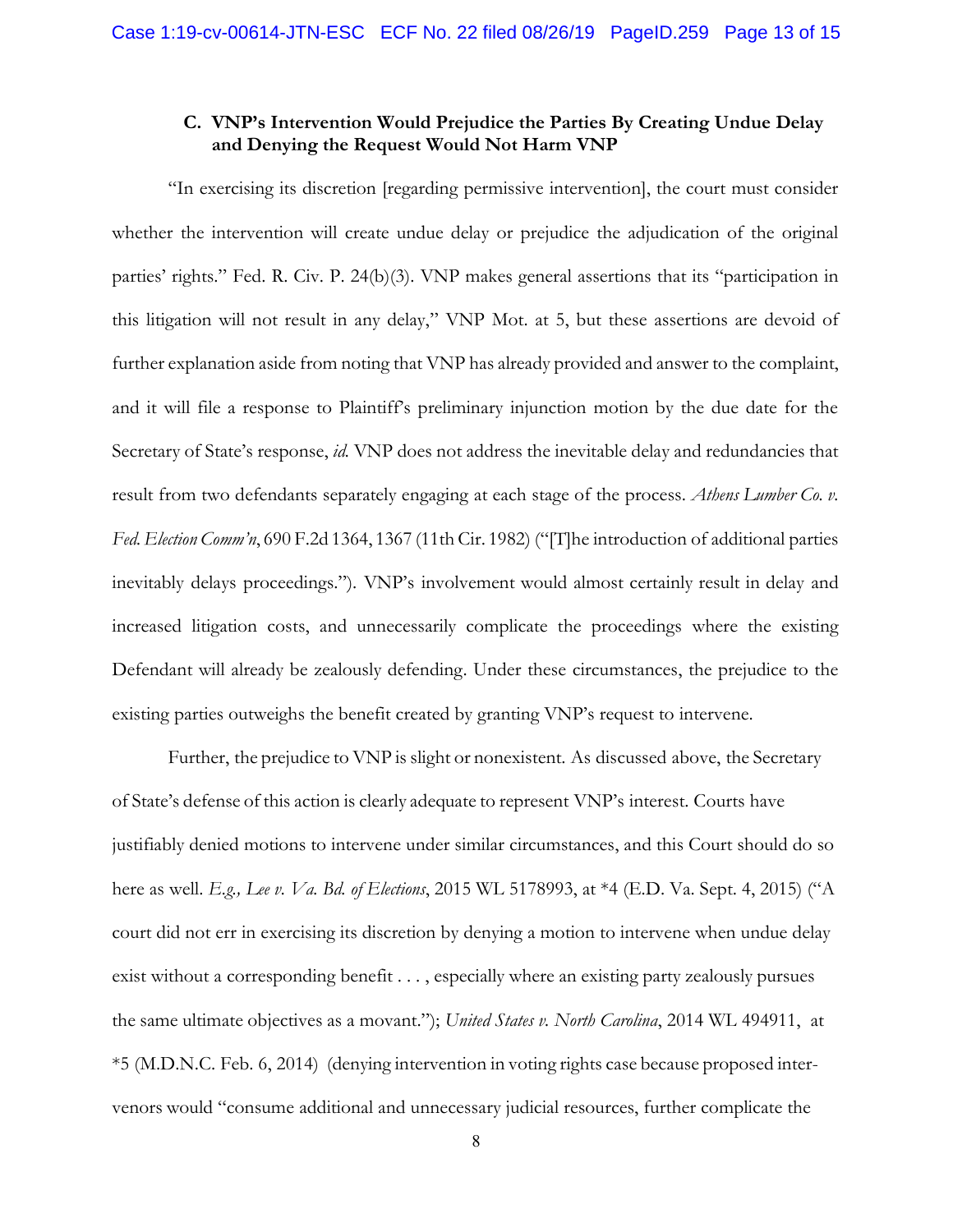## <span id="page-12-1"></span>**C. VNP's Intervention Would Prejudice the Parties By Creating Undue Delay and Denying the Request Would Not Harm VNP**

<span id="page-12-0"></span>"In exercising its discretion [regarding permissive intervention], the court must consider whether the intervention will create undue delay or prejudice the adjudication of the original parties' rights." Fed. R. Civ. P. 24(b)(3). VNP makes general assertions that its "participation in this litigation will not result in any delay," VNP Mot. at 5, but these assertions are devoid of further explanation aside from noting that VNP has already provided and answer to the complaint, and it will file a response to Plaintiff's preliminary injunction motion by the due date for the Secretary of State's response, *id.* VNP does not address the inevitable delay and redundancies that result from two defendants separately engaging at each stage of the process. *Athens Lumber Co. v. Fed.Election Comm'n*, 690 F.2d 1364, 1367 (11th Cir. 1982) ("[T]he introduction of additional parties inevitably delays proceedings."). VNP's involvement would almost certainly result in delay and increased litigation costs, and unnecessarily complicate the proceedings where the existing Defendant will already be zealously defending. Under these circumstances, the prejudice to the existing parties outweighs the benefit created by granting VNP's request to intervene.

<span id="page-12-3"></span><span id="page-12-2"></span>Further, the prejudice to VNP is slight or nonexistent. As discussed above, the Secretary of State's defense of this action is clearly adequate to represent VNP's interest. Courts have justifiably denied motions to intervene under similar circumstances, and this Court should do so here as well. *E.g., Lee v. Va. Bd. of Elections*, 2015 WL 5178993, at \*4 (E.D. Va. Sept. 4, 2015) ("A court did not err in exercising its discretion by denying a motion to intervene when undue delay exist without a corresponding benefit . . . , especially where an existing party zealously pursues the same ultimate objectives as a movant."); *United States v. North Carolina*, 2014 WL 494911, at \*5 (M.D.N.C. Feb. 6, 2014) (denying intervention in voting rights case because proposed intervenors would "consume additional and unnecessary judicial resources, further complicate the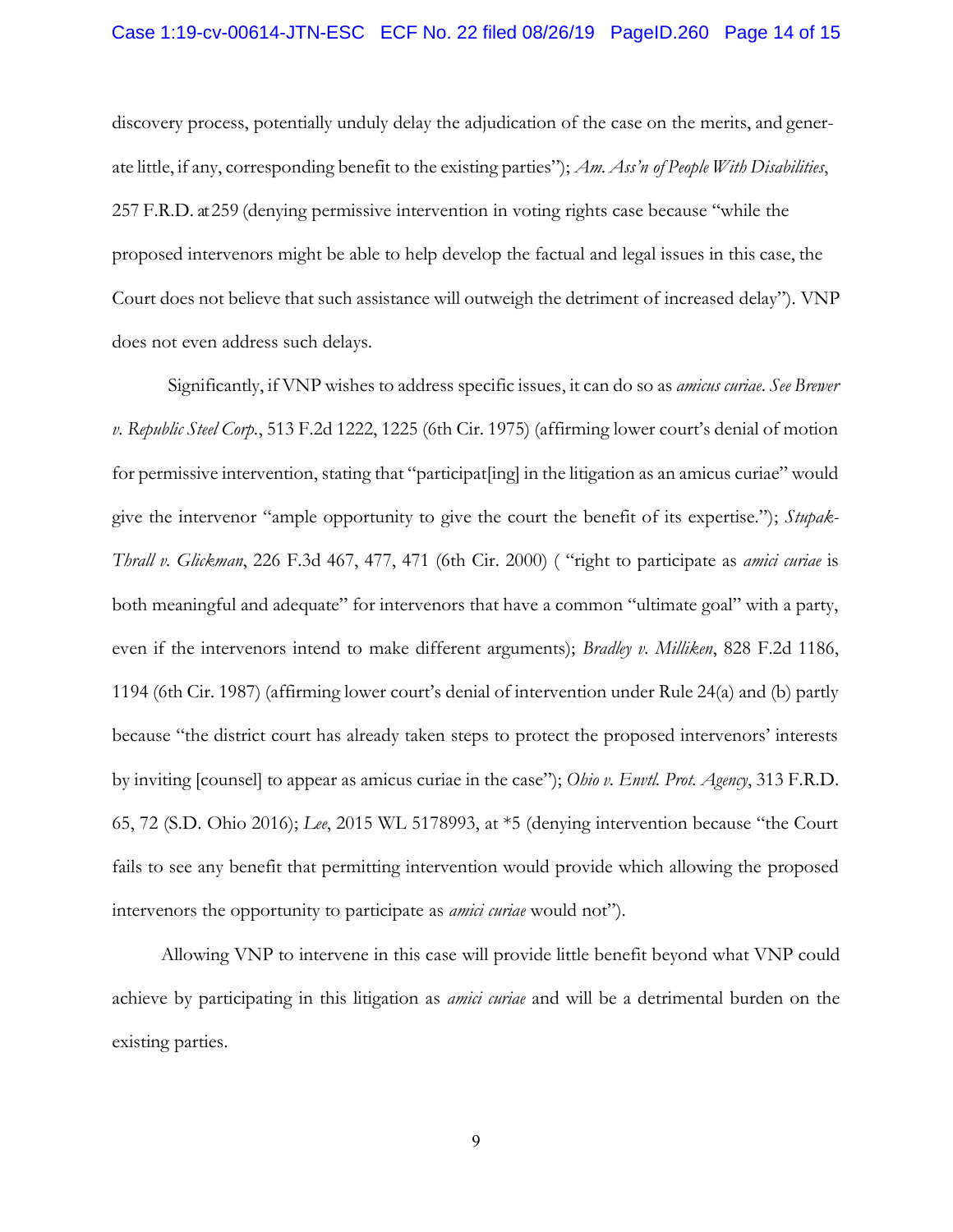<span id="page-13-0"></span>discovery process, potentially unduly delay the adjudication of the case on the merits, and generate little, if any, corresponding benefit to the existing parties"); *Am. Ass'n of People With Disabilities*, 257 F.R.D. at259 (denying permissive intervention in voting rights case because "while the proposed intervenors might be able to help develop the factual and legal issues in this case, the Court does not believe that such assistance will outweigh the detriment of increased delay"). VNP does not even address such delays.

<span id="page-13-5"></span><span id="page-13-2"></span><span id="page-13-1"></span>Significantly, if VNP wishes to address specific issues, it can do so as *amicus curiae*. *See Brewer v. Republic Steel Corp.*, 513 F.2d 1222, 1225 (6th Cir. 1975) (affirming lower court's denial of motion for permissive intervention, stating that "participat[ing] in the litigation as an amicus curiae" would give the intervenor "ample opportunity to give the court the benefit of its expertise."); *Stupak-Thrall v. Glickman*, 226 F.3d 467, 477, 471 (6th Cir. 2000) ( "right to participate as *amici curiae* is both meaningful and adequate" for intervenors that have a common "ultimate goal" with a party, even if the intervenors intend to make different arguments); *Bradley v. Milliken*, 828 F.2d 1186, 1194 (6th Cir. 1987) (affirming lower court's denial of intervention under Rule 24(a) and (b) partly because "the district court has already taken steps to protect the proposed intervenors' interests by inviting [counsel] to appear as amicus curiae in the case"); *Ohio v. Envtl. Prot. Agency*, 313 F.R.D. 65, 72 (S.D. Ohio 2016); *Lee*, 2015 WL 5178993, at \*5 (denying intervention because "the Court fails to see any benefit that permitting intervention would provide which allowing the proposed intervenors the opportunity to participate as *amici curiae* would not").

<span id="page-13-4"></span><span id="page-13-3"></span>Allowing VNP to intervene in this case will provide little benefit beyond what VNP could achieve by participating in this litigation as *amici curiae* and will be a detrimental burden on the existing parties.